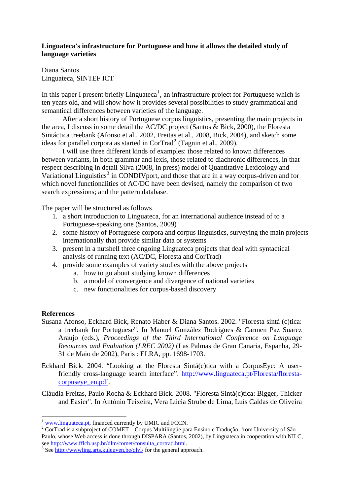## **Linguateca's infrastructure for Portuguese and how it allows the detailed study of language varieties**

Diana Santos Linguateca, SINTEF ICT

In this paper I present briefly Linguateca<sup>[1](#page-0-0)</sup>, an infrastructure project for Portuguese which is ten years old, and will show how it provides several possibilities to study grammatical and semantical differences between varieties of the language.

After a short history of Portuguese corpus linguistics, presenting the main projects in the area, I discuss in some detail the AC/DC project (Santos & Bick, 2000), the Floresta Sintáctica treebank (Afonso et al., 2002, Freitas et al., 2008, Bick, 2004), and sketch some ideas for parallel corpora as started in CorTrad<sup>[2](#page-0-1)</sup> (Tagnin et al., 2009).

 I will use three different kinds of examples: those related to known differences between variants, in both grammar and lexis, those related to diachronic differences, in that respect describing in detail Silva (2008, in press) model of Quantitative Lexicology and Variational Linguistics<sup>[3](#page-0-2)</sup> in CONDIVport, and those that are in a way corpus-driven and for which novel functionalities of AC/DC have been devised, namely the comparison of two search expressions; and the pattern database.

The paper will be structured as follows

- 1. a short introduction to Linguateca, for an international audience instead of to a Portuguese-speaking one (Santos, 2009)
- 2. some history of Portuguese corpora and corpus linguistics, surveying the main projects internationally that provide similar data or systems
- 3. present in a nutshell three ongoing Linguateca projects that deal with syntactical analysis of running text (AC/DC, Floresta and CorTrad)
- 4. provide some examples of variety studies with the above projects
	- a. how to go about studying known differences
	- b. a model of convergence and divergence of national varieties
	- c. new functionalities for corpus-based discovery

## **References**

1

- Susana Afonso, Eckhard Bick, Renato Haber & Diana Santos. 2002. "Floresta sintá (c)tica: a treebank for Portuguese". In Manuel González Rodrigues & Carmen Paz Suarez Araujo (eds.), *Proceedings of the Third International Conference on Language Resources and Evaluation (LREC 2002)* (Las Palmas de Gran Canaria, Espanha, 29- 31 de Maio de 2002), Paris : ELRA, pp. 1698-1703.
- Eckhard Bick. 2004. "Looking at the Floresta Sintá(c)tica with a CorpusEye: A userfriendly cross-language search interface". [http://www.linguateca.pt/Floresta/floresta](http://www.linguateca.pt/Floresta/floresta-corpuseye_en.pdf)[corpuseye\\_en.pdf](http://www.linguateca.pt/Floresta/floresta-corpuseye_en.pdf).
- Cláudia Freitas, Paulo Rocha & Eckhard Bick. 2008. "Floresta Sintá(c)tica: Bigger, Thicker and Easier". In António Teixeira, Vera Lúcia Strube de Lima, Luís Caldas de Oliveira

<sup>&</sup>lt;sup>1</sup> [www.linguateca.pt](http://www.linguateca.pt/), financed currently by UMIC and FCCN.

<span id="page-0-1"></span><span id="page-0-0"></span><sup>&</sup>lt;sup>2</sup> CorTrad is a subproject of COMET – Corpus Multilíngüe para Ensino e Tradução, from University of São Paulo, whose Web access is done through DISPARA (Santos, 2002), by Linguateca in cooperation with NILC, see [http://www.fflch.usp.br/dlm/comet/consulta\\_cortrad.html](http://www.fflch.usp.br/dlm/comet/consulta_cortrad.html).

<span id="page-0-2"></span><sup>&</sup>lt;sup>3</sup> See <http://wwwling.arts.kuleuven.be/qlvl/>for the general approach.